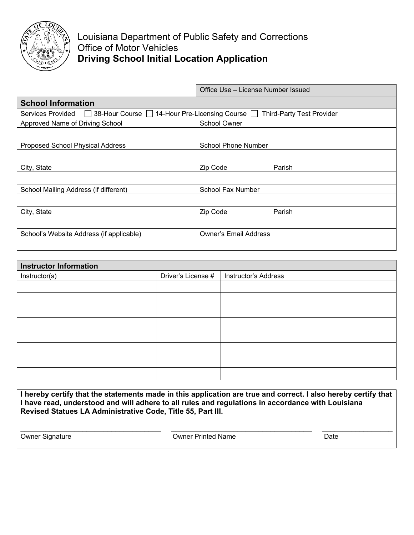

|                                          | Office Use – License Number Issued                               |        |  |  |  |  |
|------------------------------------------|------------------------------------------------------------------|--------|--|--|--|--|
| <b>School Information</b>                |                                                                  |        |  |  |  |  |
| Services Provided<br>38-Hour Course      | 14-Hour Pre-Licensing Course<br><b>Third-Party Test Provider</b> |        |  |  |  |  |
| Approved Name of Driving School          | School Owner                                                     |        |  |  |  |  |
|                                          |                                                                  |        |  |  |  |  |
| Proposed School Physical Address         | <b>School Phone Number</b>                                       |        |  |  |  |  |
|                                          |                                                                  |        |  |  |  |  |
| City, State                              | Zip Code                                                         | Parish |  |  |  |  |
|                                          |                                                                  |        |  |  |  |  |
| School Mailing Address (if different)    | <b>School Fax Number</b>                                         |        |  |  |  |  |
|                                          |                                                                  |        |  |  |  |  |
| City, State                              | Zip Code                                                         | Parish |  |  |  |  |
|                                          |                                                                  |        |  |  |  |  |
| School's Website Address (if applicable) | <b>Owner's Email Address</b>                                     |        |  |  |  |  |
|                                          |                                                                  |        |  |  |  |  |

| <b>Instructor Information</b> |                    |                             |  |  |
|-------------------------------|--------------------|-----------------------------|--|--|
| Instructor(s)                 | Driver's License # | <b>Instructor's Address</b> |  |  |
|                               |                    |                             |  |  |
|                               |                    |                             |  |  |
|                               |                    |                             |  |  |
|                               |                    |                             |  |  |
|                               |                    |                             |  |  |
|                               |                    |                             |  |  |
|                               |                    |                             |  |  |
|                               |                    |                             |  |  |

**I hereby certify that the statements made in this application are true and correct. I also hereby certify that I have read, understood and will adhere to all rules and regulations in accordance with Louisiana Revised Statues LA Administrative Code, Title 55, Part III.**

 $\_$  ,  $\_$  ,  $\_$  ,  $\_$  ,  $\_$  ,  $\_$  ,  $\_$  ,  $\_$  ,  $\_$  ,  $\_$  ,  $\_$  ,  $\_$  ,  $\_$  ,  $\_$  ,  $\_$  ,  $\_$  ,  $\_$  ,  $\_$  ,  $\_$  ,  $\_$  ,  $\_$  ,  $\_$  ,  $\_$  ,  $\_$  ,  $\_$  ,  $\_$  ,  $\_$  ,  $\_$  ,  $\_$  ,  $\_$  ,  $\_$  ,  $\_$  ,  $\_$  ,  $\_$  ,  $\_$  ,  $\_$  ,  $\_$  , Owner Signature Date **Owner Printed Name**